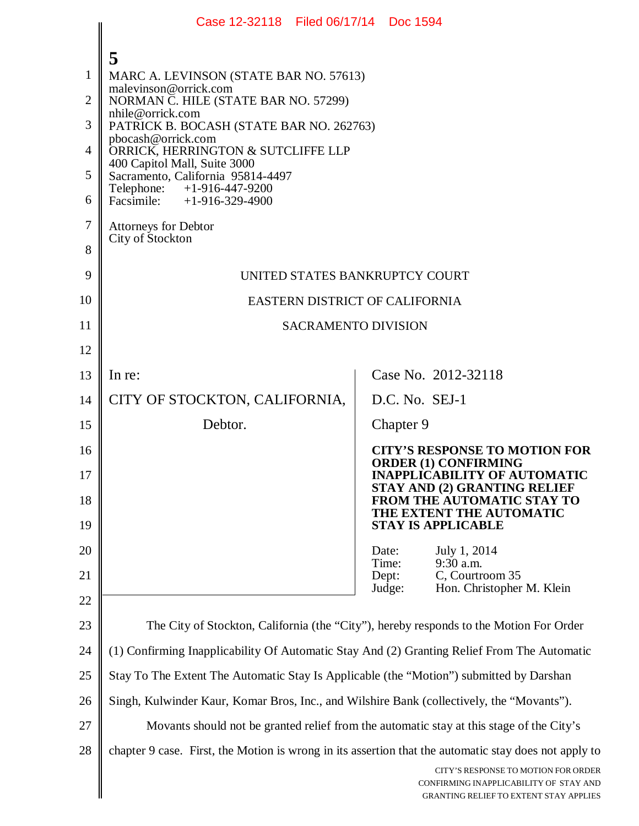|                | Case 12-32118 Filed 06/17/14 Doc 1594                                                                 |       |                |                                                                                                                                |  |
|----------------|-------------------------------------------------------------------------------------------------------|-------|----------------|--------------------------------------------------------------------------------------------------------------------------------|--|
|                | 5                                                                                                     |       |                |                                                                                                                                |  |
| 1              | MARC A. LEVINSON (STATE BAR NO. 57613)                                                                |       |                |                                                                                                                                |  |
| $\overline{2}$ | malevinson@orrick.com<br>NORMAN C. HILE (STATE BAR NO. 57299)                                         |       |                |                                                                                                                                |  |
| 3              | nhile@orrick.com<br>PATRICK B. BOCASH (STATE BAR NO. 262763)                                          |       |                |                                                                                                                                |  |
| $\overline{4}$ | pbocash@orrick.com<br>ORRICK, HERRINGTON & SUTCLIFFE LLP                                              |       |                |                                                                                                                                |  |
| 5              | 400 Capitol Mall, Suite 3000<br>Sacramento, California 95814-4497                                     |       |                |                                                                                                                                |  |
| 6              | Telephone: +1-916-447-9200<br>Facsimile: $+1-916-329-4900$                                            |       |                |                                                                                                                                |  |
| 7              | <b>Attorneys for Debtor</b>                                                                           |       |                |                                                                                                                                |  |
| 8              | City of Stockton                                                                                      |       |                |                                                                                                                                |  |
| 9              | UNITED STATES BANKRUPTCY COURT                                                                        |       |                |                                                                                                                                |  |
| 10             | EASTERN DISTRICT OF CALIFORNIA                                                                        |       |                |                                                                                                                                |  |
| 11             | <b>SACRAMENTO DIVISION</b>                                                                            |       |                |                                                                                                                                |  |
| 12             |                                                                                                       |       |                |                                                                                                                                |  |
| 13             | In re:                                                                                                |       |                | Case No. 2012-32118                                                                                                            |  |
| 14             | CITY OF STOCKTON, CALIFORNIA,                                                                         |       | D.C. No. SEJ-1 |                                                                                                                                |  |
| 15             | Debtor.                                                                                               |       | Chapter 9      |                                                                                                                                |  |
| 16             |                                                                                                       |       |                | <b>CITY'S RESPONSE TO MOTION FOR</b><br><b>ORDER (1) CONFIRMING</b>                                                            |  |
| 17             |                                                                                                       |       |                | <b>INAPPLICABILITY OF AUTOMATIC</b><br><b>STAY AND (2) GRANTING RELIEF</b>                                                     |  |
| 18             |                                                                                                       |       |                | <b>FROM THE AUTOMATIC STAY TO</b><br>THE EXTENT THE AUTOMATIC                                                                  |  |
| 19             |                                                                                                       |       |                | <b>STAY IS APPLICABLE</b>                                                                                                      |  |
| 20             |                                                                                                       | Date: | Time:          | July 1, 2014<br>9:30 a.m.                                                                                                      |  |
| 21             |                                                                                                       |       | Dept:          | C, Courtroom 35                                                                                                                |  |
| 22             |                                                                                                       |       | Judge:         | Hon. Christopher M. Klein                                                                                                      |  |
| 23             | The City of Stockton, California (the "City"), hereby responds to the Motion For Order                |       |                |                                                                                                                                |  |
| 24             | (1) Confirming Inapplicability Of Automatic Stay And (2) Granting Relief From The Automatic           |       |                |                                                                                                                                |  |
| 25             | Stay To The Extent The Automatic Stay Is Applicable (the "Motion") submitted by Darshan               |       |                |                                                                                                                                |  |
| 26             | Singh, Kulwinder Kaur, Komar Bros, Inc., and Wilshire Bank (collectively, the "Movants").             |       |                |                                                                                                                                |  |
| 27             | Movants should not be granted relief from the automatic stay at this stage of the City's              |       |                |                                                                                                                                |  |
| 28             | chapter 9 case. First, the Motion is wrong in its assertion that the automatic stay does not apply to |       |                |                                                                                                                                |  |
|                |                                                                                                       |       |                | CITY'S RESPONSE TO MOTION FOR ORDER<br>CONFIRMING INAPPLICABILITY OF STAY AND<br><b>GRANTING RELIEF TO EXTENT STAY APPLIES</b> |  |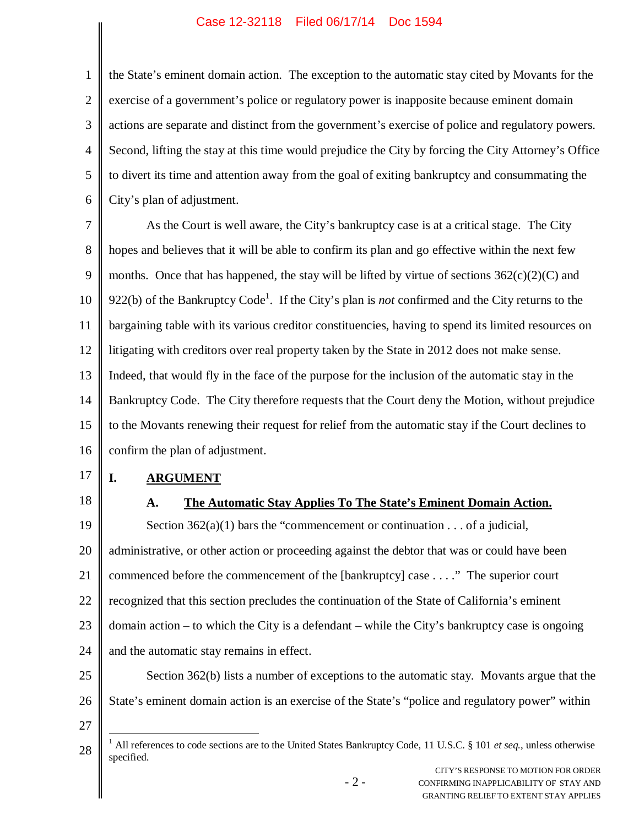## Case 12-32118 Filed 06/17/14 Doc 1594

1 2 3 4 5 6 the State's eminent domain action. The exception to the automatic stay cited by Movants for the exercise of a government's police or regulatory power is inapposite because eminent domain actions are separate and distinct from the government's exercise of police and regulatory powers. Second, lifting the stay at this time would prejudice the City by forcing the City Attorney's Office to divert its time and attention away from the goal of exiting bankruptcy and consummating the City's plan of adjustment.

7 8 9 10 11 12 13 14 15 16 As the Court is well aware, the City's bankruptcy case is at a critical stage. The City hopes and believes that it will be able to confirm its plan and go effective within the next few months. Once that has happened, the stay will be lifted by virtue of sections  $362(c)(2)(C)$  and 922(b) of the Bankruptcy Code<sup>1</sup>. If the City's plan is *not* confirmed and the City returns to the bargaining table with its various creditor constituencies, having to spend its limited resources on litigating with creditors over real property taken by the State in 2012 does not make sense. Indeed, that would fly in the face of the purpose for the inclusion of the automatic stay in the Bankruptcy Code. The City therefore requests that the Court deny the Motion, without prejudice to the Movants renewing their request for relief from the automatic stay if the Court declines to confirm the plan of adjustment.

- 17
- 18

# **I. ARGUMENT**

## **A. The Automatic Stay Applies To The State's Eminent Domain Action.**

19 20 21 22 23 24 Section  $362(a)(1)$  bars the "commencement or continuation . . . of a judicial, administrative, or other action or proceeding against the debtor that was or could have been commenced before the commencement of the [bankruptcy] case . . . ." The superior court recognized that this section precludes the continuation of the State of California's eminent domain action – to which the City is a defendant – while the City's bankruptcy case is ongoing and the automatic stay remains in effect.

25 26 Section 362(b) lists a number of exceptions to the automatic stay. Movants argue that the State's eminent domain action is an exercise of the State's "police and regulatory power" within

27

<sup>28</sup> <sup>1</sup> All references to code sections are to the United States Bankruptcy Code, 11 U.S.C. § 101 *et seq.*, unless otherwise specified.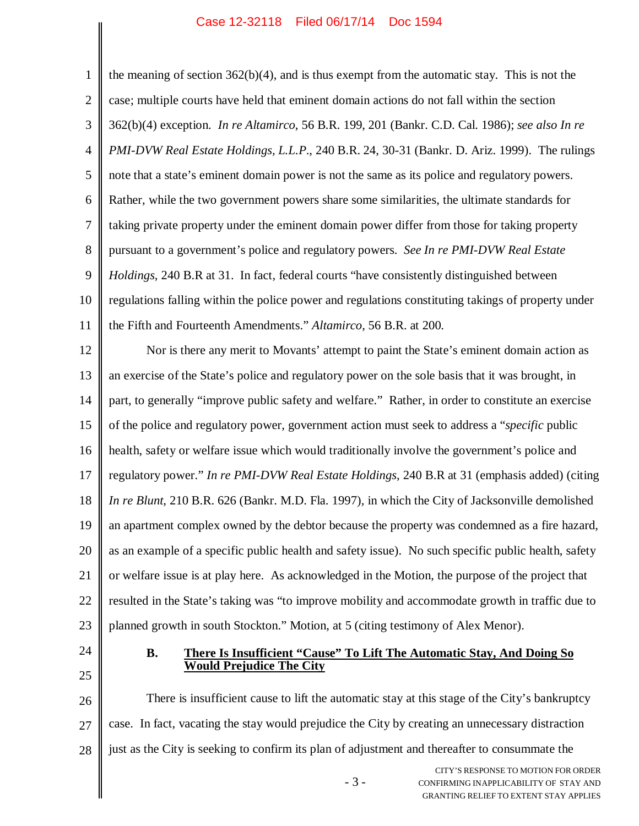### Case 12-32118 Filed 06/17/14 Doc 1594

1 2 3 4 5 6 7 8 9 10 11 12 13 14 15 16 17 18 19 20 21 22 23 the meaning of section  $362(b)(4)$ , and is thus exempt from the automatic stay. This is not the case; multiple courts have held that eminent domain actions do not fall within the section 362(b)(4) exception. *In re Altamirco*, 56 B.R. 199, 201 (Bankr. C.D. Cal. 1986); *see also In re PMI-DVW Real Estate Holdings, L.L.P*., 240 B.R. 24, 30-31 (Bankr. D. Ariz. 1999). The rulings note that a state's eminent domain power is not the same as its police and regulatory powers. Rather, while the two government powers share some similarities, the ultimate standards for taking private property under the eminent domain power differ from those for taking property pursuant to a government's police and regulatory powers. *See In re PMI-DVW Real Estate Holdings*, 240 B.R at 31. In fact, federal courts "have consistently distinguished between regulations falling within the police power and regulations constituting takings of property under the Fifth and Fourteenth Amendments." *Altamirco*, 56 B.R. at 200. Nor is there any merit to Movants' attempt to paint the State's eminent domain action as an exercise of the State's police and regulatory power on the sole basis that it was brought, in part, to generally "improve public safety and welfare." Rather, in order to constitute an exercise of the police and regulatory power, government action must seek to address a "*specific* public health, safety or welfare issue which would traditionally involve the government's police and regulatory power." *In re PMI-DVW Real Estate Holdings*, 240 B.R at 31 (emphasis added) (citing *In re Blunt*, 210 B.R. 626 (Bankr. M.D. Fla. 1997)*,* in which the City of Jacksonville demolished an apartment complex owned by the debtor because the property was condemned as a fire hazard, as an example of a specific public health and safety issue). No such specific public health, safety or welfare issue is at play here. As acknowledged in the Motion, the purpose of the project that resulted in the State's taking was "to improve mobility and accommodate growth in traffic due to planned growth in south Stockton." Motion, at 5 (citing testimony of Alex Menor).

24

25

**B. There Is Insufficient "Cause" To Lift The Automatic Stay, And Doing So Would Prejudice The City**

26 27 28 There is insufficient cause to lift the automatic stay at this stage of the City's bankruptcy case. In fact, vacating the stay would prejudice the City by creating an unnecessary distraction just as the City is seeking to confirm its plan of adjustment and thereafter to consummate the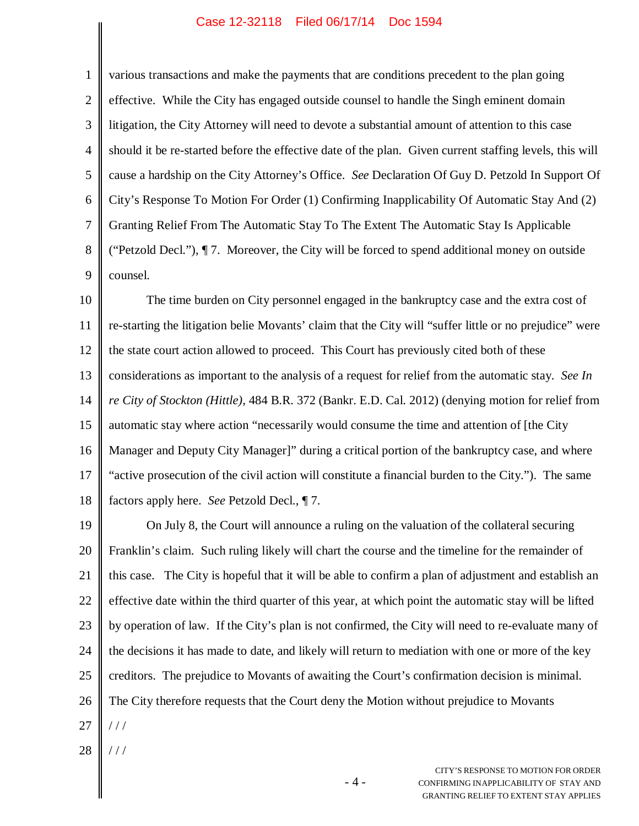#### Case 12-32118 Filed 06/17/14 Doc 1594

1 2 3 4 5 6 7 8 9 various transactions and make the payments that are conditions precedent to the plan going effective. While the City has engaged outside counsel to handle the Singh eminent domain litigation, the City Attorney will need to devote a substantial amount of attention to this case should it be re-started before the effective date of the plan. Given current staffing levels, this will cause a hardship on the City Attorney's Office. *See* Declaration Of Guy D. Petzold In Support Of City's Response To Motion For Order (1) Confirming Inapplicability Of Automatic Stay And (2) Granting Relief From The Automatic Stay To The Extent The Automatic Stay Is Applicable ("Petzold Decl."), ¶ 7. Moreover, the City will be forced to spend additional money on outside counsel.

10 11 12 13 14 15 16 17 18 The time burden on City personnel engaged in the bankruptcy case and the extra cost of re-starting the litigation belie Movants' claim that the City will "suffer little or no prejudice" were the state court action allowed to proceed. This Court has previously cited both of these considerations as important to the analysis of a request for relief from the automatic stay. *See In re City of Stockton (Hittle)*, 484 B.R. 372 (Bankr. E.D. Cal. 2012) (denying motion for relief from automatic stay where action "necessarily would consume the time and attention of [the City Manager and Deputy City Manager]" during a critical portion of the bankruptcy case, and where "active prosecution of the civil action will constitute a financial burden to the City."). The same factors apply here. *See* Petzold Decl., ¶ 7.

19 20 21 22 23 24 25 26 27 On July 8, the Court will announce a ruling on the valuation of the collateral securing Franklin's claim. Such ruling likely will chart the course and the timeline for the remainder of this case. The City is hopeful that it will be able to confirm a plan of adjustment and establish an effective date within the third quarter of this year, at which point the automatic stay will be lifted by operation of law. If the City's plan is not confirmed, the City will need to re-evaluate many of the decisions it has made to date, and likely will return to mediation with one or more of the key creditors. The prejudice to Movants of awaiting the Court's confirmation decision is minimal. The City therefore requests that the Court deny the Motion without prejudice to Movants  $1/1$ 

28 / / /